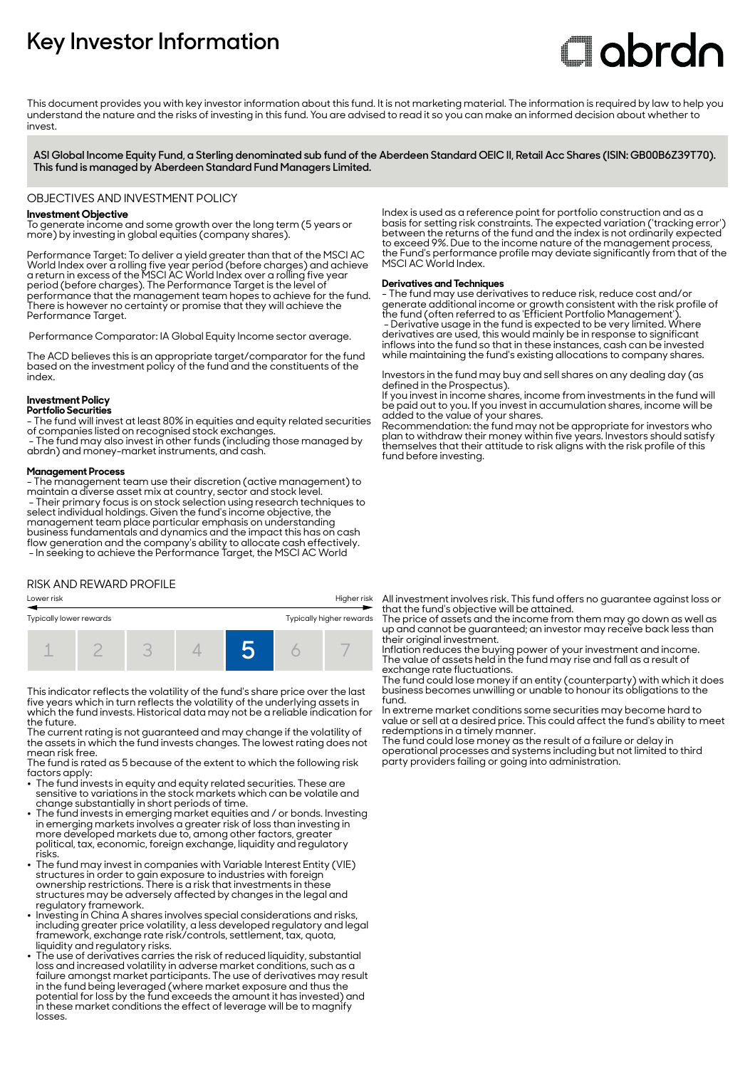# **Key Investor Information**

# **Clobrdn**

This document provides you with key investor information about this fund. It is not marketing material. The information is required by law to help you understand the nature and the risks of investing in this fund. You are advised to read it so you can make an informed decision about whether to invest

**ASI Global Income Equity Fund, a Sterling denominated sub fund of the Aberdeen Standard OEIC II, Retail Acc Shares (ISIN: GB00B6Z39T70). This fund is managed by Aberdeen Standard Fund Managers Limited.**

#### OBJECTIVES AND INVESTMENT POLICY

#### **Investment Objective**

To generate income and some growth over the long term (5 years or more) by investing in global equities (company shares).

Performance Target: To deliver a yield greater than that of the MSCI AC World Index over a rolling five year period (before charges) and achieve a return in excess of the MSCI AC World Index over a rolling five year period (before charges). The Performance Target is the level of performance that the management team hopes to achieve for the fund. There is however no certainty or promise that they will achieve the Performance Target.

Performance Comparator: IA Global Equity Income sector average.

The ACD believes this is an appropriate target/comparator for the fund based on the investment policy of the fund and the constituents of the index.

# **Investment Policy**

**Portfolio Securities** - The fund will invest at least 80% in equities and equity related securities of companies listed on recognised stock exchanges.

 - The fund may also invest in other funds (including those managed by abrdn) and money-market instruments, and cash.

#### **Management Process**

- The management team use their discretion (active management) to maintain a diverse asset mix at country, sector and stock level. - Their primary focus is on stock selection using research techniques to select individual holdings. Given the fund's income objective, the management team place particular emphasis on understanding business fundamentals and dynamics and the impact this has on cash flow generation and the company's ability to allocate cash effectively. - In seeking to achieve the Performance Target, the MSCI AC World

# RISK AND REWARD PROFILE

Lower risk Higher risk Typically lower rewards Typically higher rewards 1 2 3 4 **5** 6 7

This indicator reflects the volatility of the fund's share price over the last five years which in turn reflects the volatility of the underlying assets in which the fund invests. Historical data may not be a reliable indication for the future.

The current rating is not guaranteed and may change if the volatility of the assets in which the fund invests changes. The lowest rating does not mean risk free.

The fund is rated as 5 because of the extent to which the following risk factors apply: 2 The fund invests in equity and equity related securities. These are

- sensitive to variations in the stock markets which can be volatile and change substantially in short periods of time.
- The fund invests in emerging market equities and / or bonds. Investing in emerging markets involves a greater risk of loss than investing in more developed markets due to, among other factors, greater political, tax, economic, foreign exchange, liquidity and regulatory risks.
- The fund may invest in companies with Variable Interest Entity (VIE) structures in order to gain exposure to industries with foreign ownership restrictions. There is a risk that investments in these structures may be adversely affected by changes in the legal and regulatory framework.
- 2 Investing in China A shares involves special considerations and risks, including greater price volatility, a less developed regulatory and legal framework, exchange rate risk/controls, settlement, tax, quota, liquidity and regulatory risks.
- 2 The use of derivatives carries the risk of reduced liquidity, substantial loss and increased volatility in adverse market conditions, such as a failure amongst market participants. The use of derivatives may result in the fund being leveraged (where market exposure and thus the potential for loss by the fund exceeds the amount it has invested) and in these market conditions the effect of leverage will be to magnify losses

Index is used as a reference point for portfolio construction and as a basis for setting risk constraints. The expected variation ('tracking error') between the returns of the fund and the index is not ordinarily expected to exceed 9%. Due to the income nature of the management process, the Fund's performance profile may deviate significantly from that of the MSCI AC World Index.

#### **Derivatives and Techniques**

- The fund may use derivatives to reduce risk, reduce cost and/or generate additional income or growth consistent with the risk profile of the fund (often referred to as 'Efficient Portfolio Management'). - Derivative usage in the fund is expected to be very limited. Where derivatives are used, this would mainly be in response to significant inflows into the fund so that in these instances, cash can be invested while maintaining the fund's existing allocations to company shares.

Investors in the fund may buy and sell shares on any dealing day (as defined in the Prospectus).

If you invest in income shares, income from investments in the fund will be paid out to you. If you invest in accumulation shares, income will be added to the value of your shares.

Recommendation: the fund may not be appropriate for investors who plan to withdraw their money within five years. Investors should satisfy themselves that their attitude to risk aligns with the risk profile of this fund before investing.

All investment involves risk. This fund offers no guarantee against loss or that the fund's objective will be attained.

The price of assets and the income from them may go down as well as up and cannot be guaranteed; an investor may receive back less than their original investment.

Inflation reduces the buying power of your investment and income. The value of assets held in the fund may rise and fall as a result of exchange rate fluctuations.

The fund could lose money if an entity (counterparty) with which it does business becomes unwilling or unable to honour its obligations to the fund.

In extreme market conditions some securities may become hard to value or sell at a desired price. This could affect the fund's ability to meet redemptions in a timely manner.

The fund could lose money as the result of a failure or delay in operational processes and systems including but not limited to third party providers failing or going into administration.